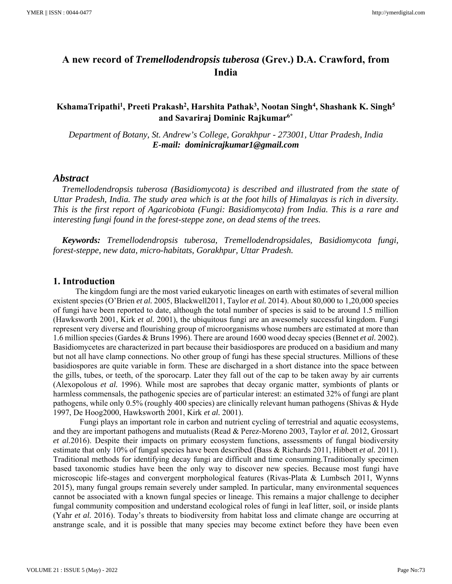# **A new record of** *Tremellodendropsis tuberosa* **(Grev.) D.A. Crawford, from India**

# **KshamaTripathi1 , Preeti Prakash2 , Harshita Pathak3, Nootan Singh4 , Shashank K. Singh5 and Savariraj Dominic Rajkumar6\***

*Department of Botany, St. Andrew's College, Gorakhpur - 273001, Uttar Pradesh, India E-mail: dominicrajkumar1@gmail.com* 

#### *Abstract*

*Tremellodendropsis tuberosa (Basidiomycota) is described and illustrated from the state of Uttar Pradesh, India. The study area which is at the foot hills of Himalayas is rich in diversity. This is the first report of Agaricobiota (Fungi: Basidiomycota) from India. This is a rare and interesting fungi found in the forest-steppe zone, on dead stems of the trees.* 

*Keywords: Tremellodendropsis tuberosa, Tremellodendropsidales, Basidiomycota fungi, forest-steppe, new data, micro-habitats, Gorakhpur, Uttar Pradesh.* 

#### **1. Introduction**

 The kingdom fungi are the most varied eukaryotic lineages on earth with estimates of several million existent species (O'Brien *et al.* 2005, Blackwell2011, Taylor *et al.* 2014). About 80,000 to 1,20,000 species of fungi have been reported to date, although the total number of species is said to be around 1.5 million (Hawksworth 2001, Kirk *et al.* 2001), the ubiquitous fungi are an awesomely successful kingdom. Fungi represent very diverse and flourishing group of microorganisms whose numbers are estimated at more than 1.6 million species (Gardes & Bruns 1996). There are around 1600 wood decay species (Bennet *et al.* 2002). Basidiomycetes are characterized in part because their basidiospores are produced on a basidium and many but not all have clamp connections. No other group of fungi has these special structures. Millions of these basidiospores are quite variable in form. These are discharged in a short distance into the space between the gills, tubes, or teeth, of the sporocarp. Later they fall out of the cap to be taken away by air currents (Alexopolous *et al.* 1996). While most are saprobes that decay organic matter, symbionts of plants or harmless commensals, the pathogenic species are of particular interest: an estimated 32% of fungi are plant pathogens, while only 0.5% (roughly 400 species) are clinically relevant human pathogens (Shivas & Hyde 1997, De Hoog2000, Hawksworth 2001, Kirk *et al.* 2001).

 Fungi plays an important role in carbon and nutrient cycling of terrestrial and aquatic ecosystems, and they are important pathogens and mutualists (Read & Perez-Moreno 2003, Taylor *et al.* 2012, Grossart *et al.*2016). Despite their impacts on primary ecosystem functions, assessments of fungal biodiversity estimate that only 10% of fungal species have been described (Bass & Richards 2011, Hibbett *et al.* 2011). Traditional methods for identifying decay fungi are difficult and time consuming.Traditionally specimen based taxonomic studies have been the only way to discover new species. Because most fungi have microscopic life-stages and convergent morphological features (Rivas-Plata & Lumbsch 2011, Wynns 2015), many fungal groups remain severely under sampled. In particular, many environmental sequences cannot be associated with a known fungal species or lineage. This remains a major challenge to decipher fungal community composition and understand ecological roles of fungi in leaf litter, soil, or inside plants (Yahr *et al.* 2016). Today's threats to biodiversity from habitat loss and climate change are occurring at anstrange scale, and it is possible that many species may become extinct before they have been even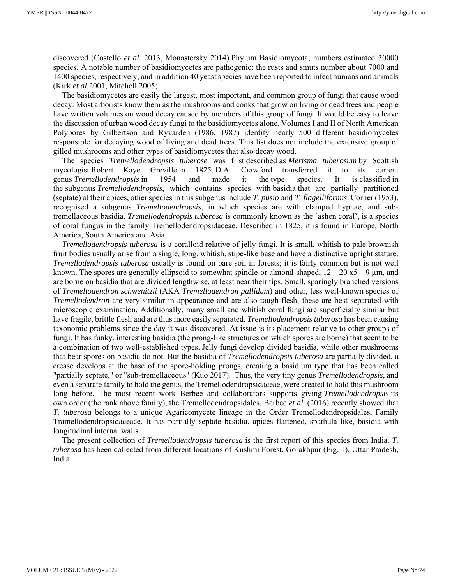discovered (Costello *et al.* 2013, Monastersky 2014).Phylum Basidiomycota, numbers estimated 30000 species. A notable number of basidiomycetes are pathogenic: the rusts and smuts number about 7000 and 1400 species, respectively, and in addition 40 yeast species have been reported to infect humans and animals (Kirk *et al.*2001, Mitchell 2005).

The basidiomycetes are easily the largest, most important, and common group of fungi that cause wood decay. Most arborists know them as the mushrooms and conks that grow on living or dead trees and people have written volumes on wood decay caused by members of this group of fungi. It would be easy to leave the discussion of urban wood decay fungi to the basidiomycetes alone. Volumes I and II of North American Polypores by Gilbertson and Ryvarden (1986, 1987) identify nearly 500 different basidiomycetes responsible for decaying wood of living and dead trees. This list does not include the extensive group of gilled mushrooms and other types of basidiomycetes that also decay wood.

The species *Tremellodendropsis tuberose* was first described as *Merisma tuberosum* by Scottish mycologist Robert Kaye Greville in 1825. D.A. Crawford transferred it to its current genus *Tremellodendropsis* in 1954 and made it the type species. It is classified in the subgenus *Tremellodendropsis*, which contains species with basidia that are partially partitioned (septate) at their apices, other species in this subgenus include *T. pusio* and *T. flagelliformis*. Corner (1953), recognised a subgenus *Tremellodendropsis*, in which species are with clamped hyphae, and subtremellaceous basidia. *Tremellodendropsis tuberosa* is commonly known as the 'ashen coral', is a species of coral fungus in the family Tremellodendropsidaceae. Described in 1825, it is found in Europe, North America, South America and Asia.

*Tremellodendropsis tuberosa* is a coralloid relative of jelly fungi. It is small, whitish to pale brownish fruit bodies usually arise from a single, long, whitish, stipe-like base and have a distinctive upright stature. *Tremellodendropsis tuberosa* usually is found on bare soil in forests; it is fairly common but is not well known. The spores are generally ellipsoid to somewhat spindle-or almond-shaped,  $12-20$  x5—9  $\mu$ m, and are borne on basidia that are divided lengthwise, at least near their tips. Small, sparingly branched versions of *Tremellodendron schwenitzii* (AKA *Tremellodendron pallidum*) and other, less well-known species of *Tremellodendron* are very similar in appearance and are also tough-flesh, these are best separated with microscopic examination. Additionally, many small and whitish coral fungi are superficially similar but have fragile, brittle flesh and are thus more easily separated. *Tremellodendropsis tuberosa* has been causing taxonomic problems since the day it was discovered. At issue is its placement relative to other groups of fungi. It has funky, interesting basidia (the prong-like structures on which spores are borne) that seem to be a combination of two well-established types. Jelly fungi develop divided basidia, while other mushrooms that bear spores on basidia do not. But the basidia of *Tremellodendropsis tuberosa* are partially divided, a crease develops at the base of the spore-holding prongs, creating a basidium type that has been called "partially septate," or "sub-tremellaceous" (Kuo 2017). Thus, the very tiny genus *Tremellodendropsis*, and even a separate family to hold the genus, the Tremellodendropsidaceae, were created to hold this mushroom long before. The most recent work Berbee and collaborators supports giving *Tremellodendropsis* its own order (the rank above family), the Tremellodendropsidales. Berbee *et al.* (2016) recently showed that *T. tuberosa* belongs to a unique Agaricomycete lineage in the Order Tremellodendropsidales, Family Tramellodendropsidaceace. It has partially septate basidia, apices flattened, spathula like, basidia with longitudinal internal walls.

The present collection of *Tremellodendropsis tuberosa* is the first report of this species from India. *T. tuberosa* has been collected from different locations of Kushmi Forest, Gorakhpur (Fig. 1), Uttar Pradesh, India.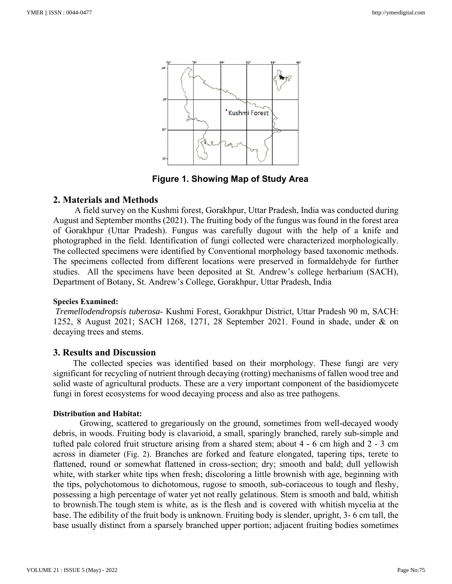

**Figure 1. Showing Map of Study Area**

### **2. Materials and Methods**

A field survey on the Kushmi forest, Gorakhpur, Uttar Pradesh, India was conducted during August and September months (2021). The fruiting body of the fungus was found in the forest area of Gorakhpur (Uttar Pradesh). Fungus was carefully dugout with the help of a knife and photographed in the field. Identification of fungi collected were characterized morphologically. The collected specimens were identified by Conventional morphology based taxonomic methods. The specimens collected from different locations were preserved in formaldehyde for further studies. All the specimens have been deposited at St. Andrew's college herbarium (SACH), Department of Botany, St. Andrew's College, Gorakhpur, Uttar Pradesh, India

#### **Species Examined:**

*Tremellodendropsis tuberosa*- Kushmi Forest, Gorakhpur District, Uttar Pradesh 90 m, SACH: 1252, 8 August 2021; SACH 1268, 1271, 28 September 2021. Found in shade, under & on decaying trees and stems.

#### **3. Results and Discussion**

 The collected species was identified based on their morphology. These fungi are very significant for recycling of nutrient through decaying (rotting) mechanisms of fallen wood tree and solid waste of agricultural products. These are a very important component of the basidiomycete fungi in forest ecosystems for wood decaying process and also as tree pathogens.

#### **Distribution and Habitat:**

Growing, scattered to gregariously on the ground, sometimes from well-decayed woody debris, in woods. Fruiting body is clavarioid, a small, sparingly branched, rarely sub-simple and tufted pale colored fruit structure arising from a shared stem; about 4 - 6 cm high and 2 - 3 cm across in diameter (Fig. 2). Branches are forked and feature elongated, tapering tips, terete to flattened, round or somewhat flattened in cross-section; dry; smooth and bald; dull yellowish white, with starker white tips when fresh; discoloring a little brownish with age, beginning with the tips, polychotomous to dichotomous, rugose to smooth, sub-coriaceous to tough and fleshy, possessing a high percentage of water yet not really gelatinous. Stem is smooth and bald, whitish to brownish.The tough stem is white, as is the flesh and is covered with whitish mycelia at the base. The edibility of the fruit body is unknown. Fruiting body is slender, upright, 3- 6 cm tall, the base usually distinct from a sparsely branched upper portion; adjacent fruiting bodies sometimes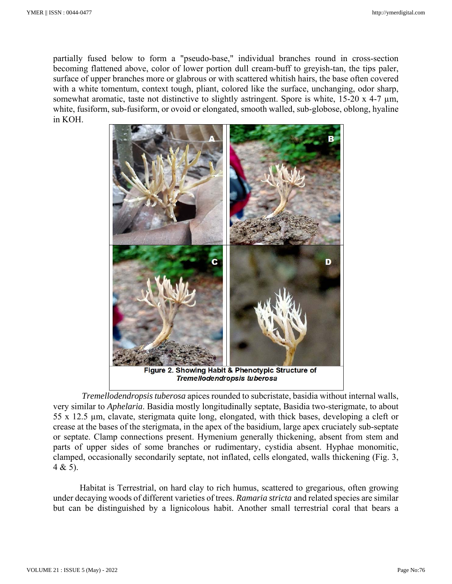partially fused below to form a "pseudo-base," individual branches round in cross-section becoming flattened above, color of lower portion dull cream-buff to greyish-tan, the tips paler, surface of upper branches more or glabrous or with scattered whitish hairs, the base often covered with a white tomentum, context tough, pliant, colored like the surface, unchanging, odor sharp, somewhat aromatic, taste not distinctive to slightly astringent. Spore is white, 15-20 x 4-7  $\mu$ m, white, fusiform, sub-fusiform, or ovoid or elongated, smooth walled, sub-globose, oblong, hyaline in KOH.



*Tremellodendropsis tuberosa* apices rounded to subcristate, basidia without internal walls, very similar to *Aphelaria*. Basidia mostly longitudinally septate, Basidia two-sterigmate, to about 55 x 12.5 µm, clavate, sterigmata quite long, elongated, with thick bases, developing a cleft or crease at the bases of the sterigmata, in the apex of the basidium, large apex cruciately sub-septate or septate. Clamp connections present. Hymenium generally thickening, absent from stem and parts of upper sides of some branches or rudimentary, cystidia absent. Hyphae monomitic, clamped, occasionally secondarily septate, not inflated, cells elongated, walls thickening (Fig. 3,  $4 & 5$ ).

 Habitat is Terrestrial, on hard clay to rich humus, scattered to gregarious, often growing under decaying woods of different varieties of trees. *Ramaria stricta* and related species are similar but can be distinguished by a lignicolous habit. Another small terrestrial coral that bears a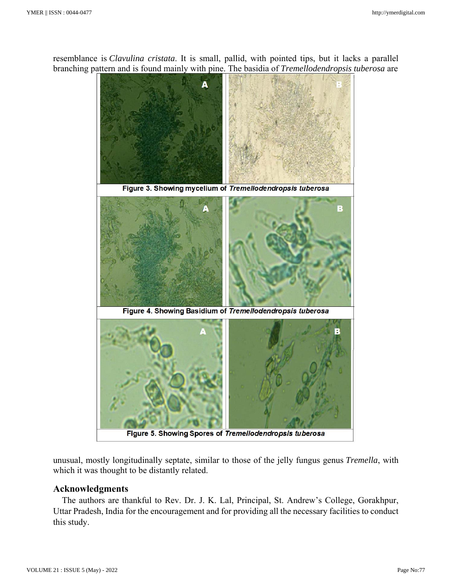resemblance is *Clavulina cristata*. It is small, pallid, with pointed tips, but it lacks a parallel branching pattern and is found mainly with pine. The basidia of *Tremellodendropsis tuberosa* are



unusual, mostly longitudinally septate, similar to those of the jelly fungus genus *Tremella*, with which it was thought to be distantly related.

# **Acknowledgments**

 The authors are thankful to Rev. Dr. J. K. Lal, Principal, St. Andrew's College, Gorakhpur, Uttar Pradesh, India for the encouragement and for providing all the necessary facilities to conduct this study.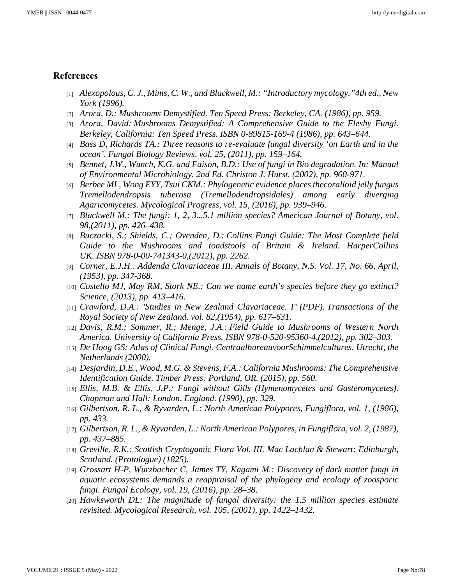## **References**

- [1] *Alexopolous, C. J., Mims, C. W., and Blackwell, M.: "Introductory mycology."4th ed., New York (1996).*
- [2] *Arora, D.: Mushrooms Demystified. Ten Speed Press: Berkeley, CA. (1986), pp. 959.*
- [3] *Arora, David: Mushrooms Demystified: A Comprehensive Guide to the Fleshy Fungi. Berkeley, California: Ten Speed Press. ISBN 0-89815-169-4 (1986), pp. 643–644.*
- [4] *Bass D, Richards TA.: Three reasons to re-evaluate fungal diversity 'on Earth and in the ocean'. Fungal Biology Reviews, vol. 25, (2011), pp. 159–164.*
- [5] *Bennet, J.W., Wunch, K.G. and Faison, B.D.: Use of fungi in Bio degradation. In: Manual of Environmental Microbiology. 2nd Ed. Christon J. Hurst. (2002), pp. 960-971.*
- [6] *Berbee ML, Wong EYY, Tsui CKM.: Phylogenetic evidence places thecoralloid jelly fungus Tremellodendropsis tuberosa (Tremellodendropsidales) among early diverging Agaricomycetes. Mycological Progress, vol. 15, (2016), pp. 939–946.*
- [7] *Blackwell M.: The fungi: 1, 2, 3...5.1 million species? American Journal of Botany, vol. 98,(2011), pp. 426–438.*
- [8] *Buczacki, S.; Shields, C.; Ovenden, D.: Collins Fungi Guide: The Most Complete field Guide to the Mushrooms and toadstools of Britain & Ireland. HarperCollins UK. ISBN 978-0-00-741343-0,(2012), pp. 2262.*
- [9] *Corner, E.J.H.: Addenda Clavariaceae III. Annals of Botany, N.S. Vol. 17, No. 66, April, (1953), pp. 347-368.*
- [10] *Costello MJ, May RM, Stork NE.: Can we name earth's species before they go extinct? Science, (2013), pp. 413–416.*
- [11] *Crawford, D.A.: "Studies in New Zealand Clavariaceae. I" (PDF). Transactions of the Royal Society of New Zealand. vol. 82,(1954), pp. 617–631.*
- [12] *Davis, R.M.; Sommer, R.; Menge, J.A.: Field Guide to Mushrooms of Western North America. University of California Press. ISBN 978-0-520-95360-4,(2012), pp. 302–303.*
- [13] *De Hoog GS: Atlas of Clinical Fungi. CentraalbureauvoorSchimmelcultures, Utrecht, the Netherlands (2000).*
- [14] *Desjardin, D.E., Wood, M.G. & Stevens, F.A.: California Mushrooms: The Comprehensive Identification Guide. Timber Press: Portland, OR. (2015), pp. 560.*
- [15] *Ellis, M.B. & Ellis, J.P.: Fungi without Gills (Hymenomycetes and Gasteromycetes). Chapman and Hall: London, England. (1990), pp. 329.*
- [16] *Gilbertson, R. L., & Ryvarden, L.: North American Polypores, Fungiflora, vol. 1, (1986), pp. 433.*
- [17] *Gilbertson, R. L., & Ryvarden, L.: North American Polypores, in Fungiflora, vol. 2, (1987), pp. 437–885.*
- [18] *Greville, R.K.: Scottish Cryptogamic Flora Vol. III. Mac Lachlan & Stewart: Edinburgh, Scotland. (Protologue) (1825).*
- [19] *Grossart H-P, Wurzbacher C, James TY, Kagami M.: Discovery of dark matter fungi in aquatic ecosystems demands a reappraisal of the phylogeny and ecology of zoosporic fungi. Fungal Ecology, vol. 19, (2016), pp. 28–38.*
- [20] *Hawksworth DL: The magnitude of fungal diversity: the 1.5 million species estimate revisited. Mycological Research, vol. 105, (2001), pp. 1422–1432.*